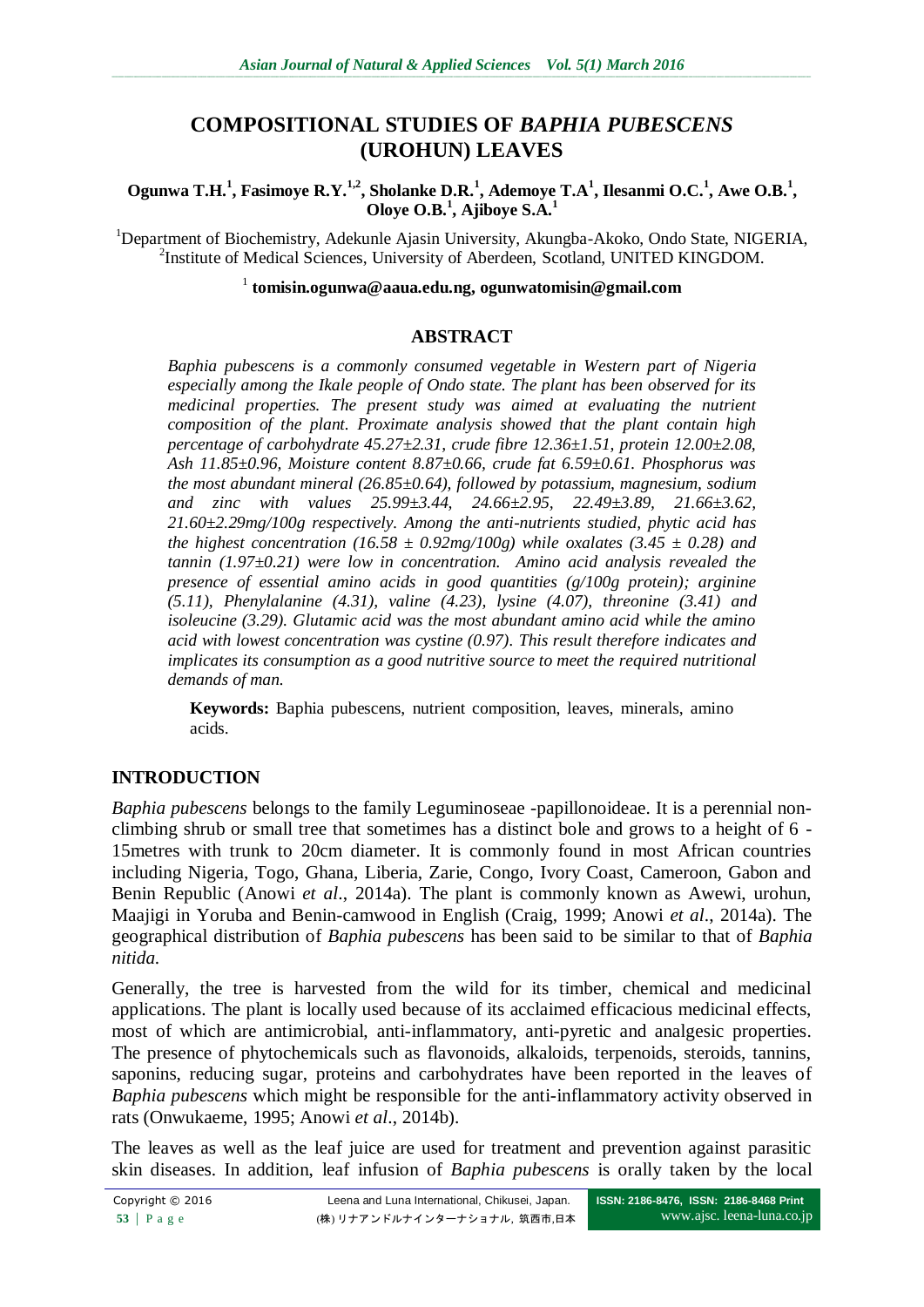# **COMPOSITIONAL STUDIES OF** *BAPHIA PUBESCENS* **(UROHUN) LEAVES**

**Ogunwa T.H.<sup>1</sup> , Fasimoye R.Y.1,2, Sholanke D.R.<sup>1</sup> , Ademoye T.A<sup>1</sup> , Ilesanmi O.C.<sup>1</sup> , Awe O.B.<sup>1</sup> , Oloye O.B.<sup>1</sup> , Ajiboye S.A.<sup>1</sup>**

<sup>1</sup>Department of Biochemistry, Adekunle Ajasin University, Akungba-Akoko, Ondo State, NIGERIA, <sup>2</sup>Institute of Medical Sciences, University of Aberdeen, Scotland, UNITED KINGDOM.

#### 1 **tomisin.ogunwa@aaua.edu.ng, ogunwatomisin@gmail.com**

#### **ABSTRACT**

*Baphia pubescens is a commonly consumed vegetable in Western part of Nigeria especially among the Ikale people of Ondo state. The plant has been observed for its medicinal properties. The present study was aimed at evaluating the nutrient composition of the plant. Proximate analysis showed that the plant contain high percentage of carbohydrate 45.27±2.31, crude fibre 12.36±1.51, protein 12.00±2.08, Ash 11.85±0.96, Moisture content 8.87±0.66, crude fat 6.59±0.61. Phosphorus was the most abundant mineral (26.85±0.64), followed by potassium, magnesium, sodium and zinc with values 25.99±3.44, 24.66±2.95, 22.49±3.89, 21.66±3.62, 21.60±2.29mg/100g respectively. Among the anti-nutrients studied, phytic acid has the highest concentration (16.58*  $\pm$  *0.92mg/100g) while oxalates (3.45*  $\pm$  *0.28) and tannin (1.97±0.21) were low in concentration. Amino acid analysis revealed the presence of essential amino acids in good quantities (g/100g protein); arginine (5.11), Phenylalanine (4.31), valine (4.23), lysine (4.07), threonine (3.41) and isoleucine (3.29). Glutamic acid was the most abundant amino acid while the amino acid with lowest concentration was cystine (0.97). This result therefore indicates and implicates its consumption as a good nutritive source to meet the required nutritional demands of man.*

**Keywords:** Baphia pubescens, nutrient composition, leaves, minerals, amino acids.

## **INTRODUCTION**

*Baphia pubescens* belongs to the family Leguminoseae -papillonoideae. It is a perennial nonclimbing shrub or small tree that sometimes has a distinct bole and grows to a height of 6 - 15metres with trunk to 20cm diameter. It is commonly found in most African countries including Nigeria, Togo, Ghana, Liberia, Zarie, Congo, Ivory Coast, Cameroon, Gabon and Benin Republic (Anowi *et al*., 2014a). The plant is commonly known as Awewi, urohun, Maajigi in Yoruba and Benin-camwood in English (Craig, 1999; Anowi *et al*., 2014a). The geographical distribution of *Baphia pubescens* has been said to be similar to that of *Baphia nitida.*

Generally, the tree is harvested from the wild for its timber, chemical and medicinal applications. The plant is locally used because of its acclaimed efficacious medicinal effects, most of which are antimicrobial, anti-inflammatory, anti-pyretic and analgesic properties. The presence of phytochemicals such as flavonoids, alkaloids, terpenoids, steroids, tannins, saponins, reducing sugar, proteins and carbohydrates have been reported in the leaves of *Baphia pubescens* which might be responsible for the anti-inflammatory activity observed in rats (Onwukaeme, 1995; Anowi *et al*., 2014b).

The leaves as well as the leaf juice are used for treatment and prevention against parasitic skin diseases. In addition, leaf infusion of *Baphia pubescens* is orally taken by the local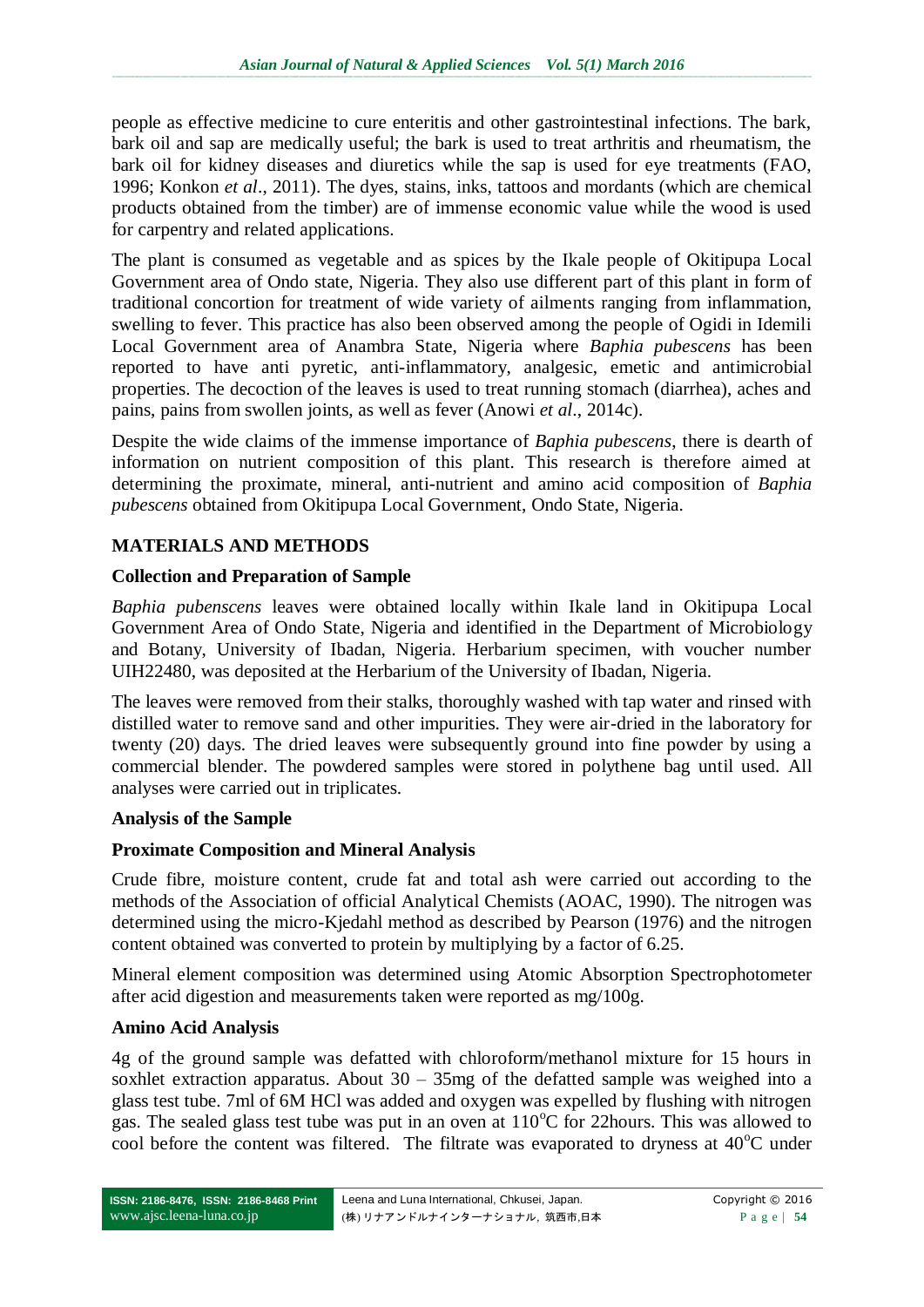people as effective medicine to cure enteritis and other gastrointestinal infections. The bark, bark oil and sap are medically useful; the bark is used to treat arthritis and rheumatism, the bark oil for kidney diseases and diuretics while the sap is used for eye treatments (FAO, 1996; Konkon *et al*., 2011). The dyes, stains, inks, tattoos and mordants (which are chemical products obtained from the timber) are of immense economic value while the wood is used for carpentry and related applications.

The plant is consumed as vegetable and as spices by the Ikale people of Okitipupa Local Government area of Ondo state, Nigeria. They also use different part of this plant in form of traditional concortion for treatment of wide variety of ailments ranging from inflammation, swelling to fever. This practice has also been observed among the people of Ogidi in Idemili Local Government area of Anambra State, Nigeria where *Baphia pubescens* has been reported to have anti pyretic, anti-inflammatory, analgesic, emetic and antimicrobial properties. The decoction of the leaves is used to treat running stomach (diarrhea), aches and pains, pains from swollen joints, as well as fever (Anowi *et al*., 2014c).

Despite the wide claims of the immense importance of *Baphia pubescens*, there is dearth of information on nutrient composition of this plant. This research is therefore aimed at determining the proximate, mineral, anti-nutrient and amino acid composition of *Baphia pubescens* obtained from Okitipupa Local Government, Ondo State, Nigeria.

# **MATERIALS AND METHODS**

## **Collection and Preparation of Sample**

*Baphia pubenscens* leaves were obtained locally within Ikale land in Okitipupa Local Government Area of Ondo State, Nigeria and identified in the Department of Microbiology and Botany, University of Ibadan, Nigeria. Herbarium specimen, with voucher number UIH22480, was deposited at the Herbarium of the University of Ibadan, Nigeria.

The leaves were removed from their stalks, thoroughly washed with tap water and rinsed with distilled water to remove sand and other impurities. They were air-dried in the laboratory for twenty (20) days. The dried leaves were subsequently ground into fine powder by using a commercial blender. The powdered samples were stored in polythene bag until used. All analyses were carried out in triplicates.

#### **Analysis of the Sample**

## **Proximate Composition and Mineral Analysis**

Crude fibre, moisture content, crude fat and total ash were carried out according to the methods of the Association of official Analytical Chemists (AOAC, 1990). The nitrogen was determined using the micro-Kjedahl method as described by Pearson (1976) and the nitrogen content obtained was converted to protein by multiplying by a factor of 6.25.

Mineral element composition was determined using Atomic Absorption Spectrophotometer after acid digestion and measurements taken were reported as mg/100g.

#### **Amino Acid Analysis**

4g of the ground sample was defatted with chloroform/methanol mixture for 15 hours in soxhlet extraction apparatus. About  $30 - 35$  mg of the defatted sample was weighed into a glass test tube. 7ml of 6M HCl was added and oxygen was expelled by flushing with nitrogen gas. The sealed glass test tube was put in an oven at  $110^{\circ}$ C for 22hours. This was allowed to cool before the content was filtered. The filtrate was evaporated to dryness at  $40^{\circ}$ C under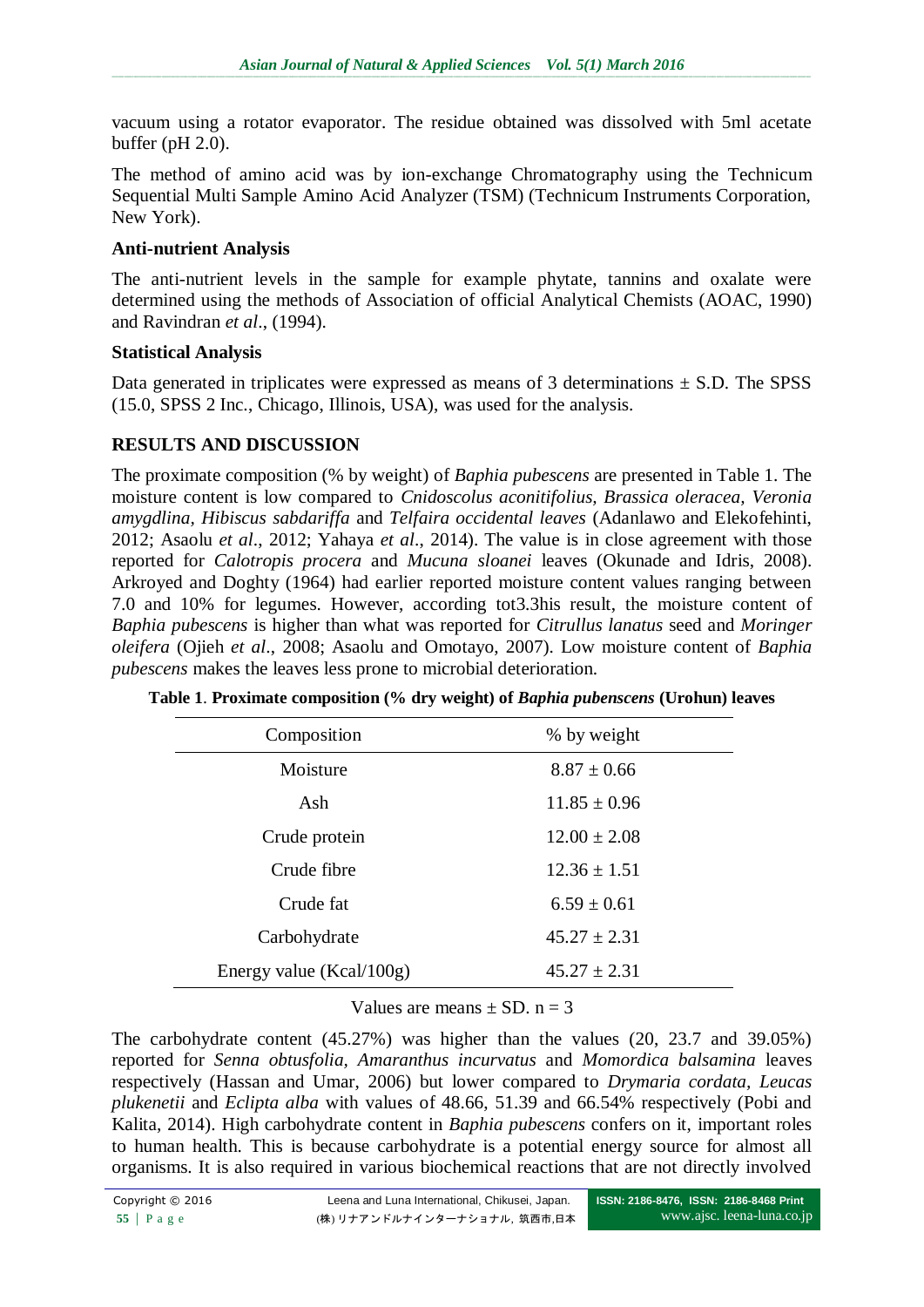vacuum using a rotator evaporator. The residue obtained was dissolved with 5ml acetate buffer (pH 2.0).

The method of amino acid was by ion-exchange Chromatography using the Technicum Sequential Multi Sample Amino Acid Analyzer (TSM) (Technicum Instruments Corporation, New York).

## **Anti-nutrient Analysis**

The anti-nutrient levels in the sample for example phytate, tannins and oxalate were determined using the methods of Association of official Analytical Chemists (AOAC, 1990) and Ravindran *et al*., (1994).

## **Statistical Analysis**

Data generated in triplicates were expressed as means of 3 determinations  $\pm$  S.D. The SPSS (15.0, SPSS 2 Inc., Chicago, Illinois, USA), was used for the analysis.

## **RESULTS AND DISCUSSION**

The proximate composition (% by weight) of *Baphia pubescens* are presented in Table 1. The moisture content is low compared to *Cnidoscolus aconitifolius, Brassica oleracea, Veronia amygdlina, Hibiscus sabdariffa* and *Telfaira occidental leaves* (Adanlawo and Elekofehinti, 2012; Asaolu *et al*., 2012; Yahaya *et al*., 2014). The value is in close agreement with those reported for *Calotropis procera* and *Mucuna sloanei* leaves (Okunade and Idris, 2008). Arkroyed and Doghty (1964) had earlier reported moisture content values ranging between 7.0 and 10% for legumes. However, according tot3.3his result, the moisture content of *Baphia pubescens* is higher than what was reported for *Citrullus lanatus* seed and *Moringer oleifera* (Ojieh *et al*., 2008; Asaolu and Omotayo, 2007). Low moisture content of *Baphia pubescens* makes the leaves less prone to microbial deterioration.

| Composition              | % by weight      |
|--------------------------|------------------|
| Moisture                 | $8.87 \pm 0.66$  |
| Ash                      | $11.85 \pm 0.96$ |
| Crude protein            | $12.00 \pm 2.08$ |
| Crude fibre              | $12.36 \pm 1.51$ |
| Crude fat                | $6.59 \pm 0.61$  |
| Carbohydrate             | $45.27 \pm 2.31$ |
| Energy value (Kcal/100g) | $45.27 + 2.31$   |

**Table 1**. **Proximate composition (% dry weight) of** *Baphia pubenscens* **(Urohun) leaves**

Values are means  $+$  SD,  $n = 3$ 

The carbohydrate content (45.27%) was higher than the values (20, 23.7 and 39.05%) reported for *Senna obtusfolia, Amaranthus incurvatus* and *Momordica balsamina* leaves respectively (Hassan and Umar, 2006) but lower compared to *Drymaria cordata, Leucas plukenetii* and *Eclipta alba* with values of 48.66, 51.39 and 66.54% respectively (Pobi and Kalita, 2014). High carbohydrate content in *Baphia pubescens* confers on it, important roles to human health. This is because carbohydrate is a potential energy source for almost all organisms. It is also required in various biochemical reactions that are not directly involved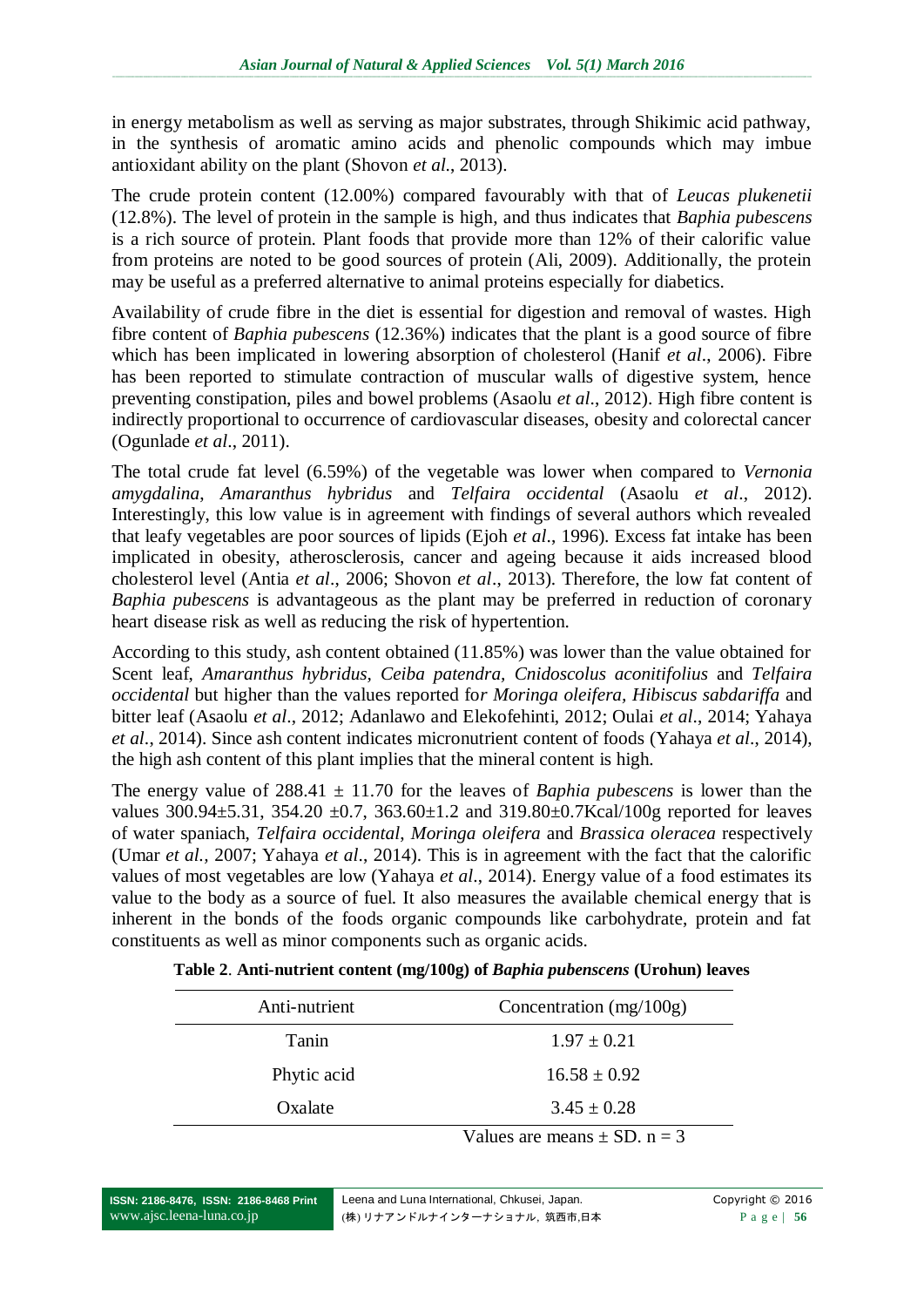in energy metabolism as well as serving as major substrates, through Shikimic acid pathway, in the synthesis of aromatic amino acids and phenolic compounds which may imbue antioxidant ability on the plant (Shovon *et al*., 2013).

The crude protein content (12.00%) compared favourably with that of *Leucas plukenetii* (12.8%). The level of protein in the sample is high, and thus indicates that *Baphia pubescens* is a rich source of protein. Plant foods that provide more than 12% of their calorific value from proteins are noted to be good sources of protein (Ali, 2009). Additionally, the protein may be useful as a preferred alternative to animal proteins especially for diabetics.

Availability of crude fibre in the diet is essential for digestion and removal of wastes. High fibre content of *Baphia pubescens* (12.36%) indicates that the plant is a good source of fibre which has been implicated in lowering absorption of cholesterol (Hanif *et al*., 2006). Fibre has been reported to stimulate contraction of muscular walls of digestive system, hence preventing constipation, piles and bowel problems (Asaolu *et al*., 2012). High fibre content is indirectly proportional to occurrence of cardiovascular diseases, obesity and colorectal cancer (Ogunlade *et al*., 2011).

The total crude fat level (6.59%) of the vegetable was lower when compared to *Vernonia amygdalina*, *Amaranthus hybridus* and *Telfaira occidental* (Asaolu *et al*., 2012). Interestingly, this low value is in agreement with findings of several authors which revealed that leafy vegetables are poor sources of lipids (Ejoh *et al*., 1996). Excess fat intake has been implicated in obesity, atherosclerosis, cancer and ageing because it aids increased blood cholesterol level (Antia *et al*., 2006; Shovon *et al*., 2013). Therefore, the low fat content of *Baphia pubescens* is advantageous as the plant may be preferred in reduction of coronary heart disease risk as well as reducing the risk of hypertention.

According to this study, ash content obtained (11.85%) was lower than the value obtained for Scent leaf, *Amaranthus hybridus, Ceiba patendra, Cnidoscolus aconitifolius* and *Telfaira occidental* but higher than the values reported fo*r Moringa oleifera, Hibiscus sabdariffa* and bitter leaf (Asaolu *et al*., 2012; Adanlawo and Elekofehinti, 2012; Oulai *et al*., 2014; Yahaya *et al*., 2014). Since ash content indicates micronutrient content of foods (Yahaya *et al*., 2014), the high ash content of this plant implies that the mineral content is high.

The energy value of 288.41 ± 11.70 for the leaves of *Baphia pubescens* is lower than the values 300.94±5.31, 354.20 ±0.7, 363.60±1.2 and 319.80±0.7Kcal/100g reported for leaves of water spaniach, *Telfaira occidental*, *Moringa oleifera* and *Brassica oleracea* respectively (Umar *et al.,* 2007; Yahaya *et al*., 2014). This is in agreement with the fact that the calorific values of most vegetables are low (Yahaya *et al*., 2014). Energy value of a food estimates its value to the body as a source of fuel. It also measures the available chemical energy that is inherent in the bonds of the foods organic compounds like carbohydrate, protein and fat constituents as well as minor components such as organic acids.

| Anti-nutrient | Concentration $(mg/100g)$ |
|---------------|---------------------------|
| Tanin         | $1.97 \pm 0.21$           |
| Phytic acid   | $16.58 \pm 0.92$          |
| Oxalate       | $3.45 \pm 0.28$           |

**Table 2**. **Anti-nutrient content (mg/100g) of** *Baphia pubenscens* **(Urohun) leaves**

Values are means  $\pm$  SD, n = 3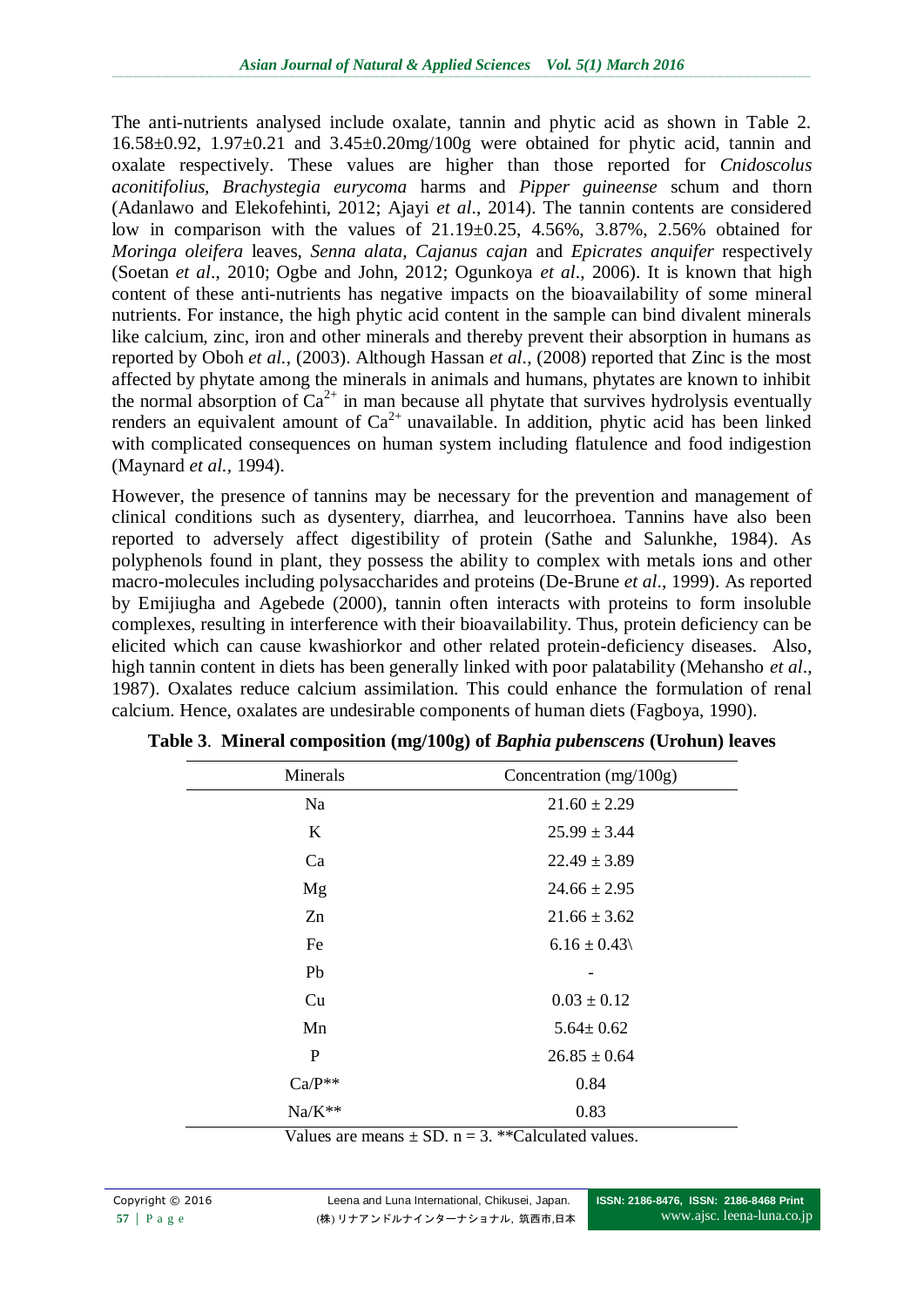The anti-nutrients analysed include oxalate, tannin and phytic acid as shown in Table 2. 16.58±0.92, 1.97±0.21 and 3.45±0.20mg/100g were obtained for phytic acid, tannin and oxalate respectively. These values are higher than those reported for *Cnidoscolus aconitifolius, Brachystegia eurycoma* harms and *Pipper guineense* schum and thorn (Adanlawo and Elekofehinti, 2012; Ajayi *et al*., 2014). The tannin contents are considered low in comparison with the values of 21.19±0.25, 4.56%, 3.87%, 2.56% obtained for *Moringa oleifera* leaves, *Senna alata, Cajanus cajan* and *Epicrates anquifer* respectively (Soetan *et al*., 2010; Ogbe and John, 2012; Ogunkoya *et al*., 2006). It is known that high content of these anti-nutrients has negative impacts on the bioavailability of some mineral nutrients. For instance, the high phytic acid content in the sample can bind divalent minerals like calcium, zinc, iron and other minerals and thereby prevent their absorption in humans as reported by Oboh *et al.*, (2003). Although Hassan *et al*., (2008) reported that Zinc is the most affected by phytate among the minerals in animals and humans, phytates are known to inhibit the normal absorption of  $Ca^{2+}$  in man because all phytate that survives hydrolysis eventually renders an equivalent amount of  $Ca^{2+}$  unavailable. In addition, phytic acid has been linked with complicated consequences on human system including flatulence and food indigestion (Maynard *et al.,* 1994).

However, the presence of tannins may be necessary for the prevention and management of clinical conditions such as dysentery, diarrhea, and leucorrhoea. Tannins have also been reported to adversely affect digestibility of protein (Sathe and Salunkhe, 1984). As polyphenols found in plant, they possess the ability to complex with metals ions and other macro-molecules including polysaccharides and proteins (De-Brune *et al*., 1999). As reported by Emijiugha and Agebede (2000), tannin often interacts with proteins to form insoluble complexes, resulting in interference with their bioavailability. Thus, protein deficiency can be elicited which can cause kwashiorkor and other related protein-deficiency diseases. Also, high tannin content in diets has been generally linked with poor palatability (Mehansho *et al*., 1987). Oxalates reduce calcium assimilation. This could enhance the formulation of renal calcium. Hence, oxalates are undesirable components of human diets (Fagboya, 1990).

| Minerals | Concentration (mg/100g) |
|----------|-------------------------|
| Na       | $21.60 \pm 2.29$        |
| K        | $25.99 \pm 3.44$        |
| Ca       | $22.49 \pm 3.89$        |
| Mg       | $24.66 \pm 2.95$        |
| Zn       | $21.66 \pm 3.62$        |
| Fe       | $6.16 \pm 0.43$         |
| Pb       |                         |
| Cu       | $0.03 \pm 0.12$         |
| Mn       | $5.64 \pm 0.62$         |
| P        | $26.85 \pm 0.64$        |
| $Ca/P**$ | 0.84                    |
| $Na/K**$ | 0.83                    |

**Table 3**. **Mineral composition (mg/100g) of** *Baphia pubenscens* **(Urohun) leaves**

Values are means  $+$  SD,  $n = 3$ , \*\*Calculated values.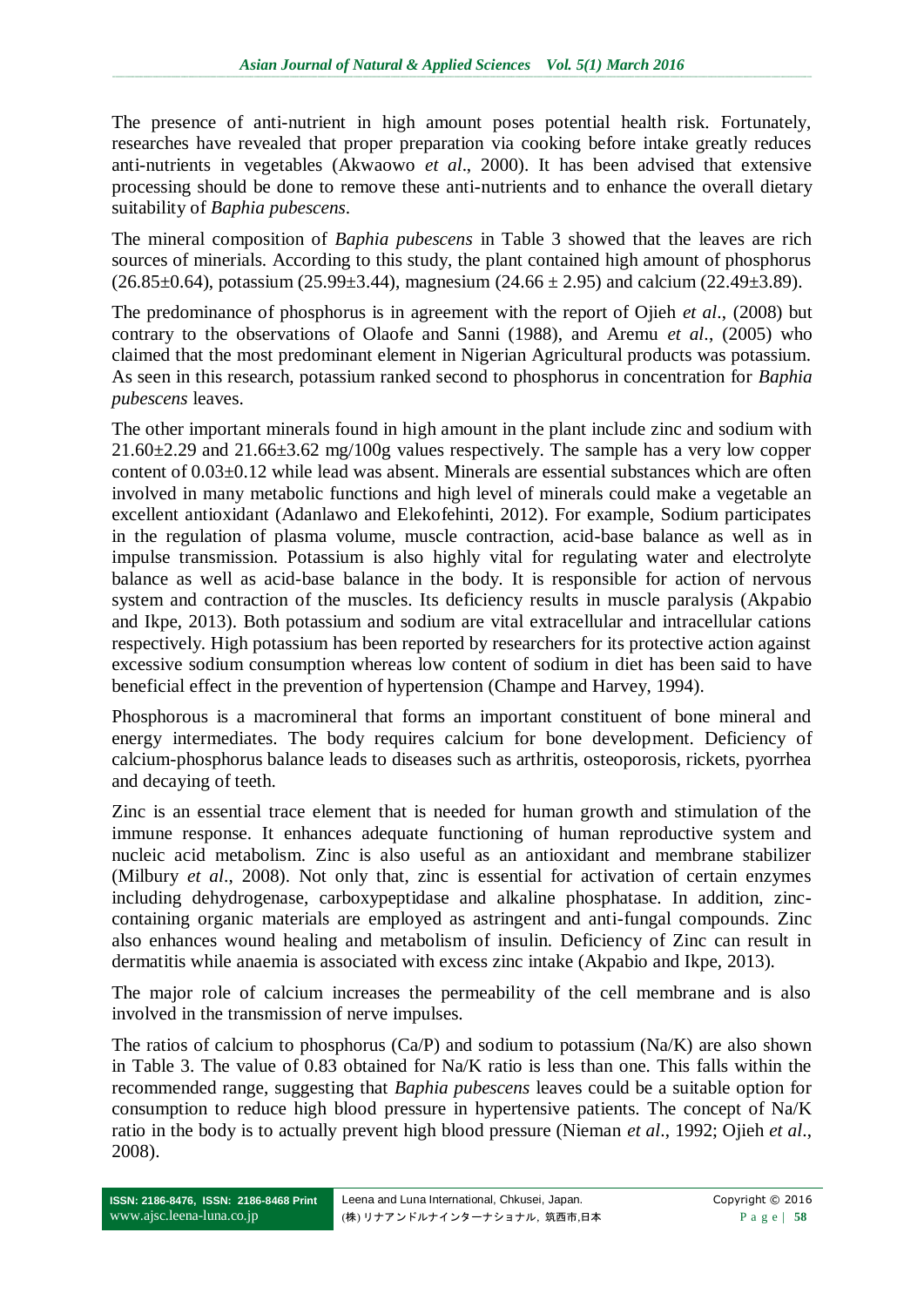The presence of anti-nutrient in high amount poses potential health risk. Fortunately, researches have revealed that proper preparation via cooking before intake greatly reduces anti-nutrients in vegetables (Akwaowo *et al*., 2000). It has been advised that extensive processing should be done to remove these anti-nutrients and to enhance the overall dietary suitability of *Baphia pubescens*.

The mineral composition of *Baphia pubescens* in Table 3 showed that the leaves are rich sources of minerials. According to this study, the plant contained high amount of phosphorus  $(26.85\pm0.64)$ , potassium  $(25.99\pm3.44)$ , magnesium  $(24.66\pm2.95)$  and calcium  $(22.49\pm3.89)$ .

The predominance of phosphorus is in agreement with the report of Ojieh *et al*., (2008) but contrary to the observations of Olaofe and Sanni (1988), and Aremu *et al*., (2005) who claimed that the most predominant element in Nigerian Agricultural products was potassium. As seen in this research, potassium ranked second to phosphorus in concentration for *Baphia pubescens* leaves.

The other important minerals found in high amount in the plant include zinc and sodium with  $21.60\pm2.29$  and  $21.66\pm3.62$  mg/100g values respectively. The sample has a very low copper content of 0.03±0.12 while lead was absent. Minerals are essential substances which are often involved in many metabolic functions and high level of minerals could make a vegetable an excellent antioxidant (Adanlawo and Elekofehinti, 2012). For example, Sodium participates in the regulation of plasma volume, muscle contraction, acid-base balance as well as in impulse transmission. Potassium is also highly vital for regulating water and electrolyte balance as well as acid-base balance in the body. It is responsible for action of nervous system and contraction of the muscles. Its deficiency results in muscle paralysis (Akpabio and Ikpe, 2013). Both potassium and sodium are vital extracellular and intracellular cations respectively. High potassium has been reported by researchers for its protective action against excessive sodium consumption whereas low content of sodium in diet has been said to have beneficial effect in the prevention of hypertension (Champe and Harvey, 1994).

Phosphorous is a macromineral that forms an important constituent of bone mineral and energy intermediates. The body requires calcium for bone development. Deficiency of calcium-phosphorus balance leads to diseases such as arthritis, osteoporosis, rickets, pyorrhea and decaying of teeth.

Zinc is an essential trace element that is needed for human growth and stimulation of the immune response. It enhances adequate functioning of human reproductive system and nucleic acid metabolism. Zinc is also useful as an antioxidant and membrane stabilizer (Milbury *et al*., 2008). Not only that, zinc is essential for activation of certain enzymes including dehydrogenase, carboxypeptidase and alkaline phosphatase. In addition, zinccontaining organic materials are employed as astringent and anti-fungal compounds. Zinc also enhances wound healing and metabolism of insulin. Deficiency of Zinc can result in dermatitis while anaemia is associated with excess zinc intake (Akpabio and Ikpe, 2013).

The major role of calcium increases the permeability of the cell membrane and is also involved in the transmission of nerve impulses.

The ratios of calcium to phosphorus  $(Ca/P)$  and sodium to potassium  $(Na/K)$  are also shown in Table 3. The value of 0.83 obtained for Na/K ratio is less than one. This falls within the recommended range, suggesting that *Baphia pubescens* leaves could be a suitable option for consumption to reduce high blood pressure in hypertensive patients. The concept of Na/K ratio in the body is to actually prevent high blood pressure (Nieman *et al*., 1992; Ojieh *et al*., 2008).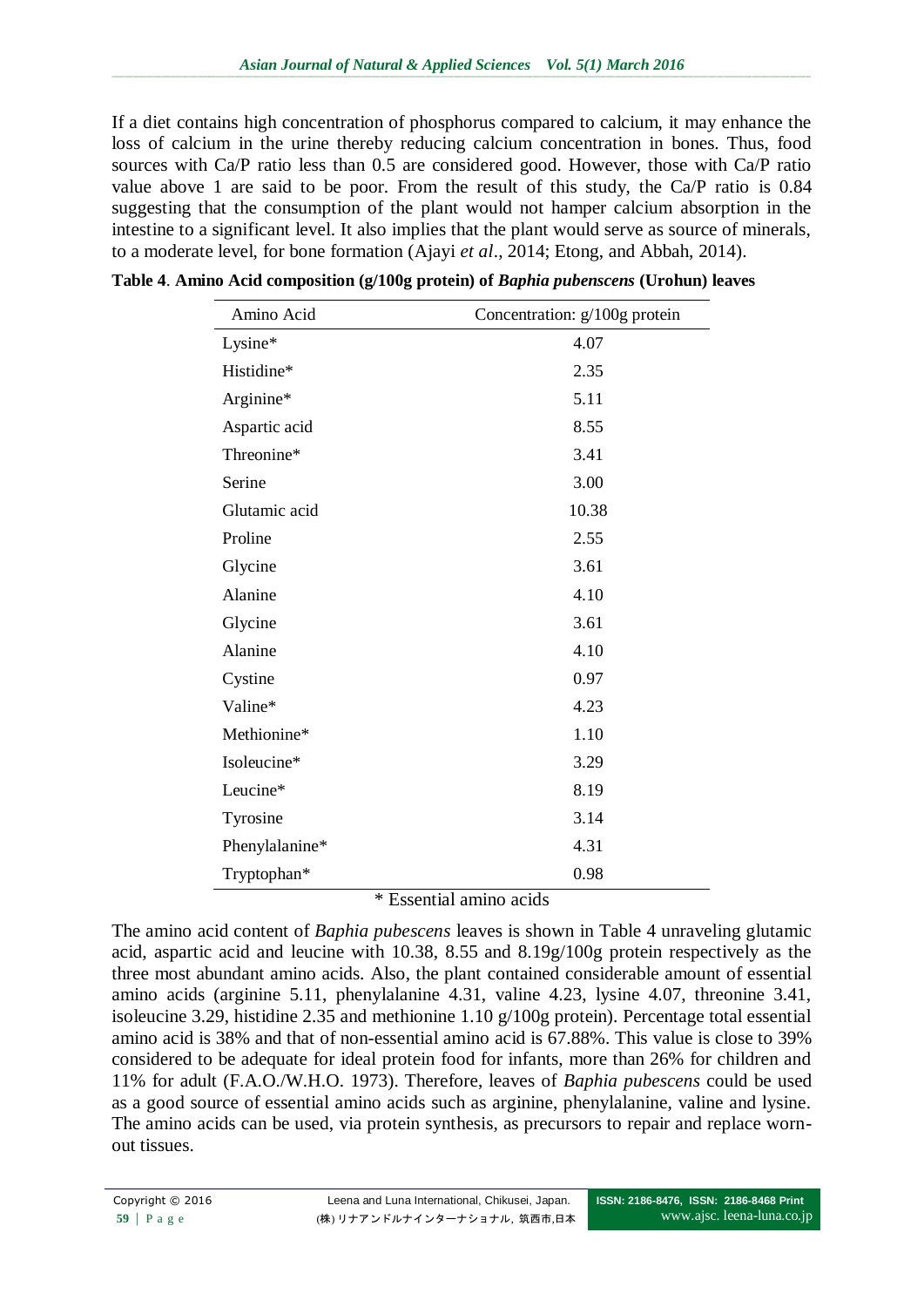If a diet contains high concentration of phosphorus compared to calcium, it may enhance the loss of calcium in the urine thereby reducing calcium concentration in bones. Thus, food sources with Ca/P ratio less than 0.5 are considered good. However, those with Ca/P ratio value above 1 are said to be poor. From the result of this study, the Ca/P ratio is 0.84 suggesting that the consumption of the plant would not hamper calcium absorption in the intestine to a significant level. It also implies that the plant would serve as source of minerals, to a moderate level, for bone formation (Ajayi *et al*., 2014; Etong, and Abbah, 2014).

| Amino Acid                            | Concentration: g/100g protein |
|---------------------------------------|-------------------------------|
| Lysine*                               | 4.07                          |
| Histidine*                            | 2.35                          |
| Arginine*                             | 5.11                          |
| Aspartic acid                         | 8.55                          |
| Threonine*                            | 3.41                          |
| Serine                                | 3.00                          |
| Glutamic acid                         | 10.38                         |
| Proline                               | 2.55                          |
| Glycine                               | 3.61                          |
| Alanine                               | 4.10                          |
| Glycine                               | 3.61                          |
| Alanine                               | 4.10                          |
| Cystine                               | 0.97                          |
| Valine*                               | 4.23                          |
| Methionine*                           | 1.10                          |
| Isoleucine*                           | 3.29                          |
| Leucine*                              | 8.19                          |
| Tyrosine                              | 3.14                          |
| Phenylalanine*                        | 4.31                          |
| Tryptophan*                           | 0.98                          |
| $\cdot$ .<br>$1.3 - 1$<br>1.1<br>* D. |                               |

**Table 4**. **Amino Acid composition (g/100g protein) of** *Baphia pubenscens* **(Urohun) leaves**

\* Essential amino acids

The amino acid content of *Baphia pubescens* leaves is shown in Table 4 unraveling glutamic acid, aspartic acid and leucine with 10.38, 8.55 and 8.19g/100g protein respectively as the three most abundant amino acids. Also, the plant contained considerable amount of essential amino acids (arginine 5.11, phenylalanine 4.31, valine 4.23, lysine 4.07, threonine 3.41, isoleucine 3.29, histidine 2.35 and methionine 1.10 g/100g protein). Percentage total essential amino acid is 38% and that of non-essential amino acid is 67.88%. This value is close to 39% considered to be adequate for ideal protein food for infants, more than 26% for children and 11% for adult (F.A.O./W.H.O. 1973). Therefore, leaves of *Baphia pubescens* could be used as a good source of essential amino acids such as arginine, phenylalanine, valine and lysine. The amino acids can be used, via protein synthesis, as precursors to repair and replace wornout tissues.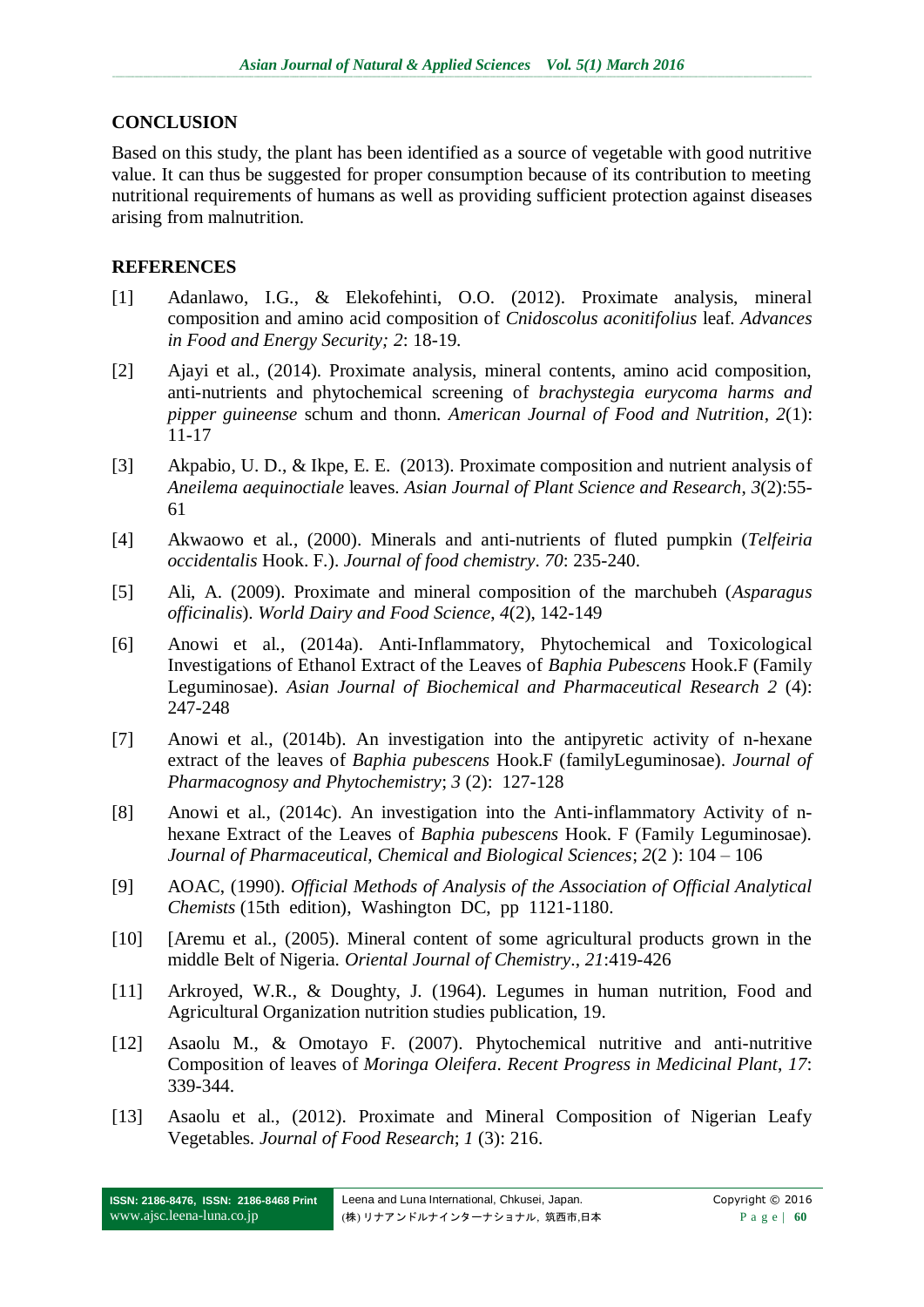## **CONCLUSION**

Based on this study, the plant has been identified as a source of vegetable with good nutritive value. It can thus be suggested for proper consumption because of its contribution to meeting nutritional requirements of humans as well as providing sufficient protection against diseases arising from malnutrition.

## **REFERENCES**

- [1] Adanlawo, I.G., & Elekofehinti, O.O. (2012). Proximate analysis, mineral composition and amino acid composition of *Cnidoscolus aconitifolius* leaf. *Advances in Food and Energy Security; 2*: 18-19.
- [2] Ajayi et al., (2014). Proximate analysis, mineral contents, amino acid composition, anti-nutrients and phytochemical screening of *brachystegia eurycoma harms and pipper guineense* schum and thonn. *American Journal of Food and Nutrition*, *2*(1): 11-17
- [3] Akpabio, U. D., & Ikpe, E. E. (2013). Proximate composition and nutrient analysis of *Aneilema aequinoctiale* leaves. *Asian Journal of Plant Science and Research*, *3*(2):55- 61
- [4] Akwaowo et al., (2000). Minerals and anti-nutrients of fluted pumpkin (*Telfeiria occidentalis* Hook. F.). *Journal of food chemistry*. *70*: 235-240.
- [5] Ali, A. (2009). Proximate and mineral composition of the marchubeh (*Asparagus officinalis*). *World Dairy and Food Science*, *4*(2), 142-149
- [6] Anowi et al., (2014a). Anti-Inflammatory, Phytochemical and Toxicological Investigations of Ethanol Extract of the Leaves of *Baphia Pubescens* Hook.F (Family Leguminosae). *Asian Journal of Biochemical and Pharmaceutical Research 2* (4): 247-248
- [7] Anowi et al., (2014b). An investigation into the antipyretic activity of n-hexane extract of the leaves of *Baphia pubescens* Hook.F (familyLeguminosae). *Journal of Pharmacognosy and Phytochemistry*; *3* (2): 127-128
- [8] Anowi et al., (2014c). An investigation into the Anti-inflammatory Activity of nhexane Extract of the Leaves of *Baphia pubescens* Hook. F (Family Leguminosae). *Journal of Pharmaceutical, Chemical and Biological Sciences*; *2*(2 ): 104 – 106
- [9] AOAC, (1990). *Official Methods of Analysis of the Association of Official Analytical Chemists* (15th edition), Washington DC, pp 1121-1180.
- [10] [Aremu et al., (2005). Mineral content of some agricultural products grown in the middle Belt of Nigeria. *Oriental Journal of Chemistry*., *21*:419-426
- [11] Arkroyed, W.R., & Doughty, J. (1964). Legumes in human nutrition, Food and Agricultural Organization nutrition studies publication, 19.
- [12] Asaolu M., & Omotayo F. (2007). Phytochemical nutritive and anti-nutritive Composition of leaves of *Moringa Oleifera*. *Recent Progress in Medicinal Plant*, *17*: 339-344.
- [13] Asaolu et al., (2012). Proximate and Mineral Composition of Nigerian Leafy Vegetables. *Journal of Food Research*; *1* (3): 216.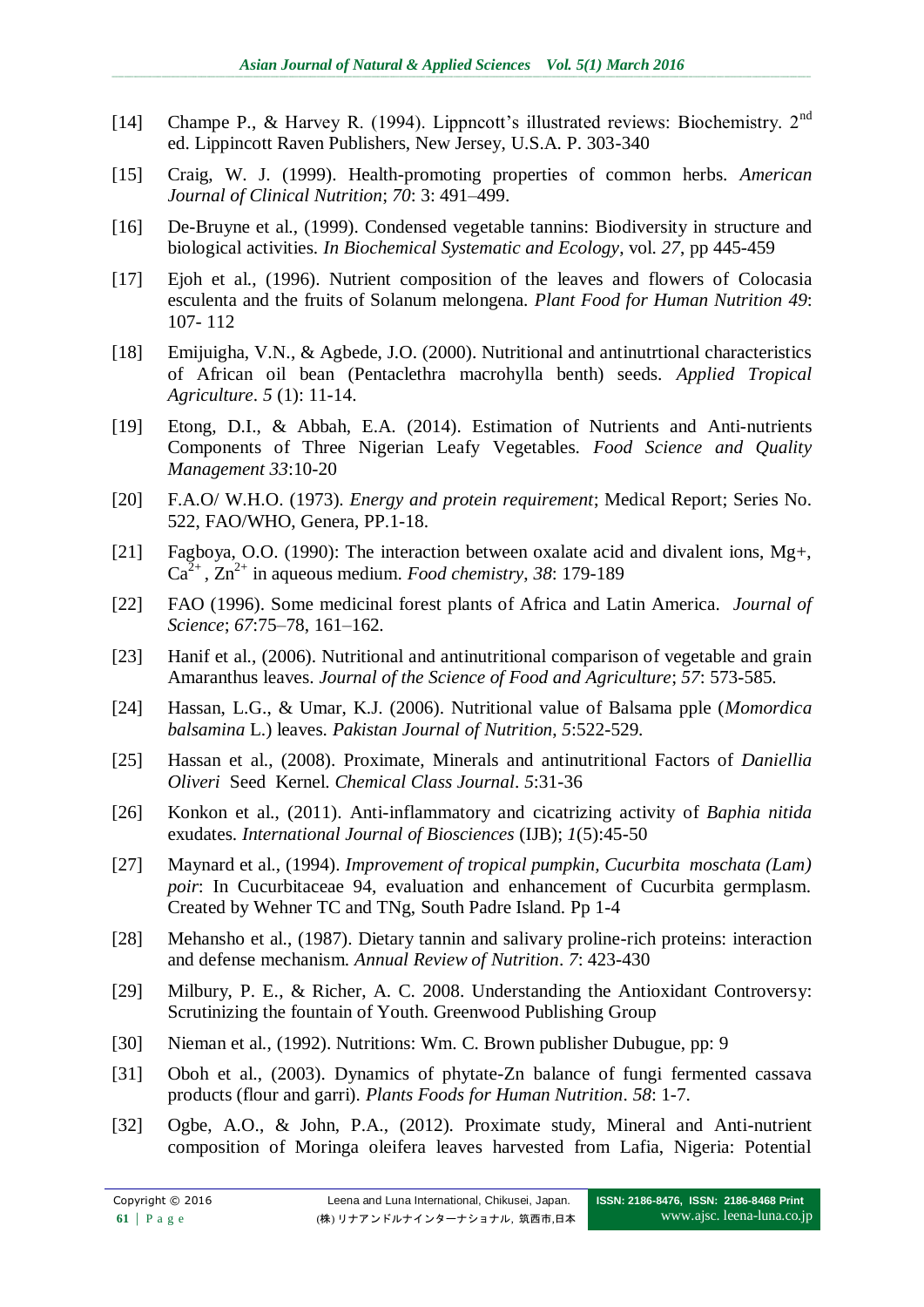- [14] Champe P., & Harvey R. (1994). Lippncott's illustrated reviews: Biochemistry. 2<sup>nd</sup> ed. Lippincott Raven Publishers, New Jersey, U.S.A. P. 303-340
- [15] Craig, W. J. (1999). Health-promoting properties of common herbs. *American Journal of Clinical Nutrition*; *70*: 3: 491–499.
- [16] De-Bruyne et al., (1999). Condensed vegetable tannins: Biodiversity in structure and biological activities. *In Biochemical Systematic and Ecology*, vol. *27*, pp 445-459
- [17] Ejoh et al., (1996). Nutrient composition of the leaves and flowers of Colocasia esculenta and the fruits of Solanum melongena. *Plant Food for Human Nutrition 49*: 107- 112
- [18] Emijuigha, V.N., & Agbede, J.O. (2000). Nutritional and antinutrtional characteristics of African oil bean (Pentaclethra macrohylla benth) seeds. *Applied Tropical Agriculture*. *5* (1): 11-14.
- [19] Etong, D.I., & Abbah, E.A. (2014). Estimation of Nutrients and Anti-nutrients Components of Three Nigerian Leafy Vegetables. *Food Science and Quality Management 33*:10-20
- [20] F.A.O/ W.H.O. (1973). *Energy and protein requirement*; Medical Report; Series No. 522, FAO/WHO, Genera, PP.1-18.
- [21] Fagboya, O.O. (1990): The interaction between oxalate acid and divalent ions, Mg+,  $Ca^{2+}$ ,  $Zn^{2+}$  in aqueous medium. *Food chemistry*, 38: 179-189
- [22] FAO (1996). Some medicinal forest plants of Africa and Latin America. *Journal of Science*; *67*:75–78, 161–162.
- [23] Hanif et al., (2006). Nutritional and antinutritional comparison of vegetable and grain Amaranthus leaves. *Journal of the Science of Food and Agriculture*; *57*: 573-585.
- [24] Hassan, L.G., & Umar, K.J. (2006). Nutritional value of Balsama pple (*Momordica balsamina* L.) leaves. *Pakistan Journal of Nutrition*, *5*:522-529.
- [25] Hassan et al., (2008). Proximate, Minerals and antinutritional Factors of *Daniellia Oliveri* Seed Kernel. *Chemical Class Journal*. *5*:31-36
- [26] Konkon et al., (2011). Anti-inflammatory and cicatrizing activity of *Baphia nitida* exudates. *International Journal of Biosciences* (IJB); *1*(5):45-50
- [27] Maynard et al., (1994). *Improvement of tropical pumpkin, Cucurbita moschata (Lam) poir*: In Cucurbitaceae 94, evaluation and enhancement of Cucurbita germplasm. Created by Wehner TC and TNg, South Padre Island. Pp 1-4
- [28] Mehansho et al., (1987). Dietary tannin and salivary proline-rich proteins: interaction and defense mechanism. *Annual Review of Nutrition*. *7*: 423-430
- [29] Milbury, P. E., & Richer, A. C. 2008. Understanding the Antioxidant Controversy: Scrutinizing the fountain of Youth. Greenwood Publishing Group
- [30] Nieman et al., (1992). Nutritions: Wm. C. Brown publisher Dubugue, pp: 9
- [31] Oboh et al., (2003). Dynamics of phytate-Zn balance of fungi fermented cassava products (flour and garri). *Plants Foods for Human Nutrition*. *58*: 1-7.
- [32] Ogbe, A.O., & John, P.A., (2012). Proximate study, Mineral and Anti-nutrient composition of Moringa oleifera leaves harvested from Lafia, Nigeria: Potential